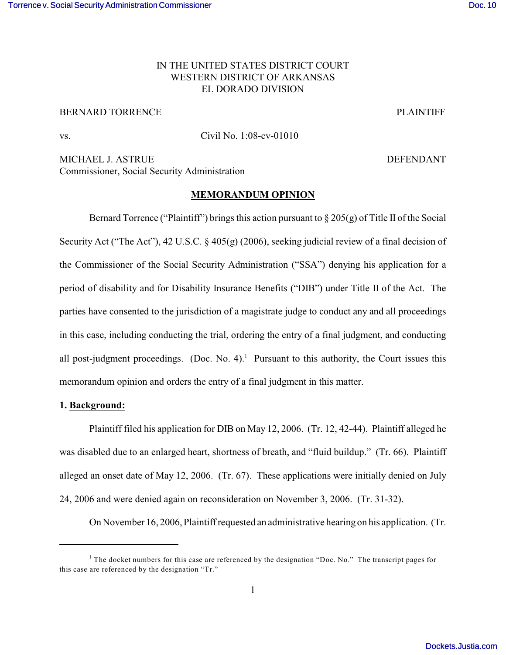## IN THE UNITED STATES DISTRICT COURT WESTERN DISTRICT OF ARKANSAS EL DORADO DIVISION

# BERNARD TORRENCE THE PLAINTIFF PLAINTIFF

vs. Civil No. 1:08-cv-01010

MICHAEL J. ASTRUE **DEFENDANT** Commissioner, Social Security Administration

#### **MEMORANDUM OPINION**

Bernard Torrence ("Plaintiff") brings this action pursuant to  $\S 205(g)$  of Title II of the Social Security Act ("The Act"), 42 U.S.C. § 405(g) (2006), seeking judicial review of a final decision of the Commissioner of the Social Security Administration ("SSA") denying his application for a period of disability and for Disability Insurance Benefits ("DIB") under Title II of the Act. The parties have consented to the jurisdiction of a magistrate judge to conduct any and all proceedings in this case, including conducting the trial, ordering the entry of a final judgment, and conducting all post-judgment proceedings. (Doc. No. 4).<sup>1</sup> Pursuant to this authority, the Court issues this memorandum opinion and orders the entry of a final judgment in this matter.

## **1. Background:**

Plaintiff filed his application for DIB on May 12, 2006. (Tr. 12, 42-44). Plaintiff alleged he was disabled due to an enlarged heart, shortness of breath, and "fluid buildup." (Tr. 66). Plaintiff alleged an onset date of May 12, 2006. (Tr. 67). These applications were initially denied on July 24, 2006 and were denied again on reconsideration on November 3, 2006. (Tr. 31-32).

On November 16, 2006, Plaintiff requested an administrative hearing on his application. (Tr.

<sup>&</sup>lt;sup>1</sup> The docket numbers for this case are referenced by the designation "Doc. No." The transcript pages for this case are referenced by the designation "Tr."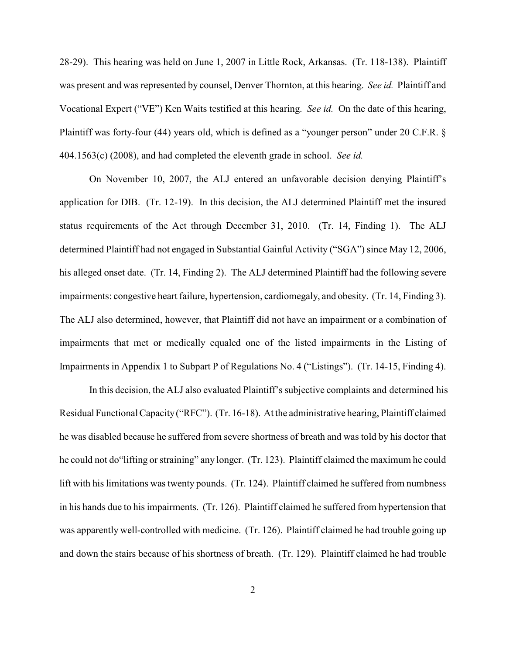28-29). This hearing was held on June 1, 2007 in Little Rock, Arkansas. (Tr. 118-138). Plaintiff was present and was represented by counsel, Denver Thornton, at this hearing. *See id.* Plaintiff and Vocational Expert ("VE") Ken Waits testified at this hearing. *See id.* On the date of this hearing, Plaintiff was forty-four (44) years old, which is defined as a "younger person" under 20 C.F.R. § 404.1563(c) (2008), and had completed the eleventh grade in school. *See id.* 

On November 10, 2007, the ALJ entered an unfavorable decision denying Plaintiff's application for DIB. (Tr. 12-19). In this decision, the ALJ determined Plaintiff met the insured status requirements of the Act through December 31, 2010. (Tr. 14, Finding 1). The ALJ determined Plaintiff had not engaged in Substantial Gainful Activity ("SGA") since May 12, 2006, his alleged onset date. (Tr. 14, Finding 2). The ALJ determined Plaintiff had the following severe impairments: congestive heart failure, hypertension, cardiomegaly, and obesity. (Tr. 14, Finding 3). The ALJ also determined, however, that Plaintiff did not have an impairment or a combination of impairments that met or medically equaled one of the listed impairments in the Listing of Impairments in Appendix 1 to Subpart P of Regulations No. 4 ("Listings"). (Tr. 14-15, Finding 4).

 In this decision, the ALJ also evaluated Plaintiff's subjective complaints and determined his Residual Functional Capacity ("RFC"). (Tr. 16-18). At the administrative hearing, Plaintiff claimed he was disabled because he suffered from severe shortness of breath and was told by his doctor that he could not do"lifting or straining" any longer. (Tr. 123). Plaintiff claimed the maximum he could lift with his limitations was twenty pounds. (Tr. 124). Plaintiff claimed he suffered from numbness in his hands due to his impairments. (Tr. 126). Plaintiff claimed he suffered from hypertension that was apparently well-controlled with medicine. (Tr. 126). Plaintiff claimed he had trouble going up and down the stairs because of his shortness of breath. (Tr. 129). Plaintiff claimed he had trouble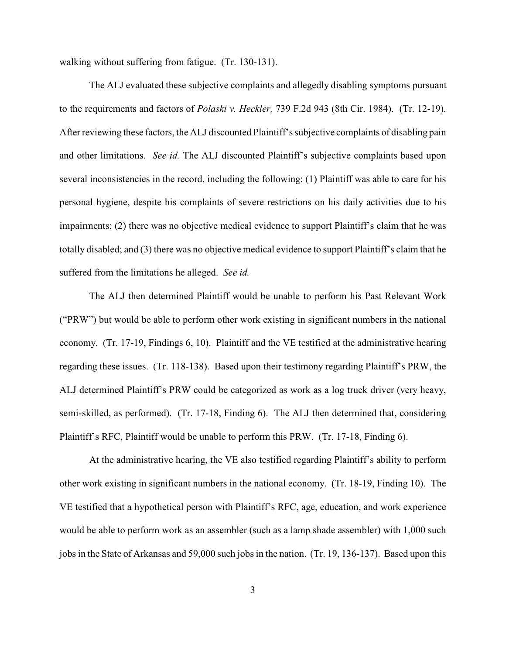walking without suffering from fatigue. (Tr. 130-131).

The ALJ evaluated these subjective complaints and allegedly disabling symptoms pursuant to the requirements and factors of *Polaski v. Heckler,* 739 F.2d 943 (8th Cir. 1984). (Tr. 12-19). After reviewing these factors, the ALJ discounted Plaintiff'ssubjective complaints of disabling pain and other limitations. *See id.* The ALJ discounted Plaintiff's subjective complaints based upon several inconsistencies in the record, including the following: (1) Plaintiff was able to care for his personal hygiene, despite his complaints of severe restrictions on his daily activities due to his impairments; (2) there was no objective medical evidence to support Plaintiff's claim that he was totally disabled; and (3) there was no objective medical evidence to support Plaintiff's claim that he suffered from the limitations he alleged. *See id.* 

The ALJ then determined Plaintiff would be unable to perform his Past Relevant Work ("PRW") but would be able to perform other work existing in significant numbers in the national economy. (Tr. 17-19, Findings 6, 10). Plaintiff and the VE testified at the administrative hearing regarding these issues. (Tr. 118-138). Based upon their testimony regarding Plaintiff's PRW, the ALJ determined Plaintiff's PRW could be categorized as work as a log truck driver (very heavy, semi-skilled, as performed). (Tr. 17-18, Finding 6). The ALJ then determined that, considering Plaintiff's RFC, Plaintiff would be unable to perform this PRW. (Tr. 17-18, Finding 6).

At the administrative hearing, the VE also testified regarding Plaintiff's ability to perform other work existing in significant numbers in the national economy. (Tr. 18-19, Finding 10). The VE testified that a hypothetical person with Plaintiff's RFC, age, education, and work experience would be able to perform work as an assembler (such as a lamp shade assembler) with 1,000 such jobs in the State of Arkansas and 59,000 such jobs in the nation. (Tr. 19, 136-137). Based upon this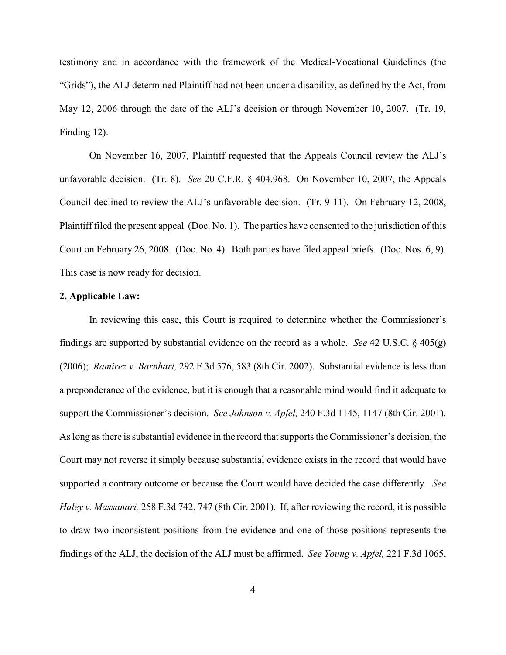testimony and in accordance with the framework of the Medical-Vocational Guidelines (the "Grids"), the ALJ determined Plaintiff had not been under a disability, as defined by the Act, from May 12, 2006 through the date of the ALJ's decision or through November 10, 2007. (Tr. 19, Finding 12).

On November 16, 2007, Plaintiff requested that the Appeals Council review the ALJ's unfavorable decision. (Tr. 8). *See* 20 C.F.R. § 404.968. On November 10, 2007, the Appeals Council declined to review the ALJ's unfavorable decision. (Tr. 9-11). On February 12, 2008, Plaintiff filed the present appeal (Doc. No. 1). The parties have consented to the jurisdiction of this Court on February 26, 2008. (Doc. No. 4). Both parties have filed appeal briefs. (Doc. Nos. 6, 9). This case is now ready for decision.

#### **2. Applicable Law:**

In reviewing this case, this Court is required to determine whether the Commissioner's findings are supported by substantial evidence on the record as a whole. *See* 42 U.S.C. § 405(g) (2006); *Ramirez v. Barnhart,* 292 F.3d 576, 583 (8th Cir. 2002). Substantial evidence is less than a preponderance of the evidence, but it is enough that a reasonable mind would find it adequate to support the Commissioner's decision. *See Johnson v. Apfel,* 240 F.3d 1145, 1147 (8th Cir. 2001). As long as there is substantial evidence in the record that supports the Commissioner's decision, the Court may not reverse it simply because substantial evidence exists in the record that would have supported a contrary outcome or because the Court would have decided the case differently. *See Haley v. Massanari,* 258 F.3d 742, 747 (8th Cir. 2001). If, after reviewing the record, it is possible to draw two inconsistent positions from the evidence and one of those positions represents the findings of the ALJ, the decision of the ALJ must be affirmed. *See Young v. Apfel,* 221 F.3d 1065,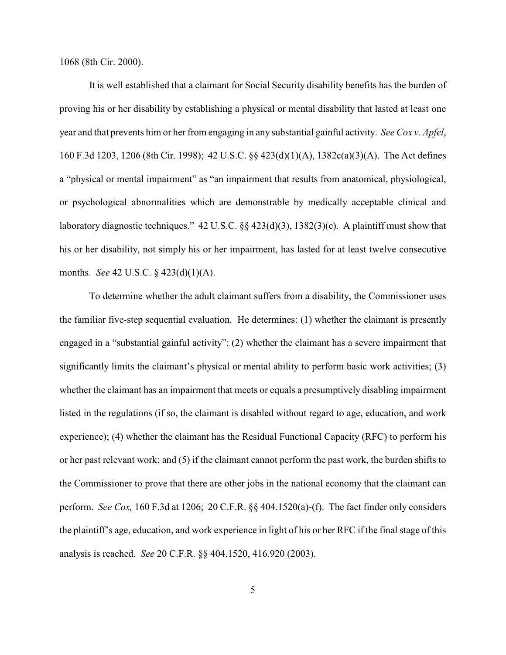1068 (8th Cir. 2000).

It is well established that a claimant for Social Security disability benefits has the burden of proving his or her disability by establishing a physical or mental disability that lasted at least one year and that prevents him or her from engaging in any substantial gainful activity. *See Cox v. Apfel*, 160 F.3d 1203, 1206 (8th Cir. 1998); 42 U.S.C. §§ 423(d)(1)(A), 1382c(a)(3)(A). The Act defines a "physical or mental impairment" as "an impairment that results from anatomical, physiological, or psychological abnormalities which are demonstrable by medically acceptable clinical and laboratory diagnostic techniques." 42 U.S.C. §§ 423(d)(3), 1382(3)(c). A plaintiff must show that his or her disability, not simply his or her impairment, has lasted for at least twelve consecutive months. *See* 42 U.S.C. § 423(d)(1)(A).

To determine whether the adult claimant suffers from a disability, the Commissioner uses the familiar five-step sequential evaluation. He determines: (1) whether the claimant is presently engaged in a "substantial gainful activity"; (2) whether the claimant has a severe impairment that significantly limits the claimant's physical or mental ability to perform basic work activities; (3) whether the claimant has an impairment that meets or equals a presumptively disabling impairment listed in the regulations (if so, the claimant is disabled without regard to age, education, and work experience); (4) whether the claimant has the Residual Functional Capacity (RFC) to perform his or her past relevant work; and (5) if the claimant cannot perform the past work, the burden shifts to the Commissioner to prove that there are other jobs in the national economy that the claimant can perform. *See Cox,* 160 F.3d at 1206; 20 C.F.R. §§ 404.1520(a)-(f). The fact finder only considers the plaintiff's age, education, and work experience in light of his or her RFC if the final stage of this analysis is reached. *See* 20 C.F.R. §§ 404.1520, 416.920 (2003).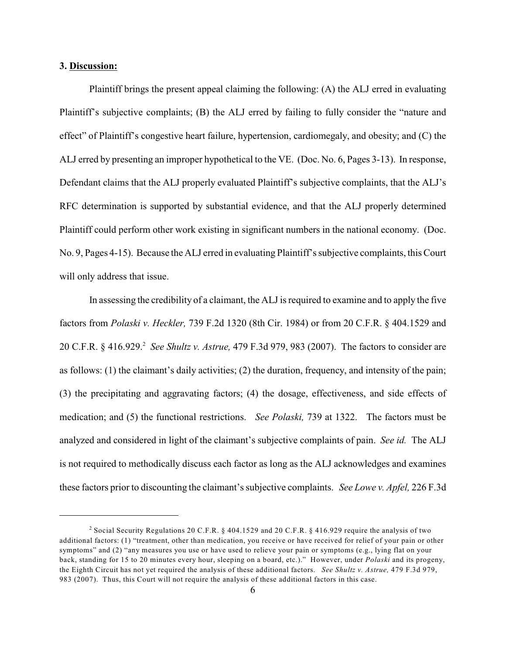### **3. Discussion:**

Plaintiff brings the present appeal claiming the following: (A) the ALJ erred in evaluating Plaintiff's subjective complaints; (B) the ALJ erred by failing to fully consider the "nature and effect" of Plaintiff's congestive heart failure, hypertension, cardiomegaly, and obesity; and (C) the ALJ erred by presenting an improper hypothetical to the VE. (Doc. No. 6, Pages 3-13). In response, Defendant claims that the ALJ properly evaluated Plaintiff's subjective complaints, that the ALJ's RFC determination is supported by substantial evidence, and that the ALJ properly determined Plaintiff could perform other work existing in significant numbers in the national economy. (Doc. No. 9, Pages 4-15). Because the ALJ erred in evaluating Plaintiff's subjective complaints, this Court will only address that issue.

In assessing the credibility of a claimant, the ALJ is required to examine and to apply the five factors from *Polaski v. Heckler,* 739 F.2d 1320 (8th Cir. 1984) or from 20 C.F.R. § 404.1529 and 20 C.F.R. § 416.929. *See Shultz v. Astrue,* 479 F.3d 979, 983 (2007). The factors to consider are <sup>2</sup> as follows: (1) the claimant's daily activities; (2) the duration, frequency, and intensity of the pain; (3) the precipitating and aggravating factors; (4) the dosage, effectiveness, and side effects of medication; and (5) the functional restrictions. *See Polaski,* 739 at 1322. The factors must be analyzed and considered in light of the claimant's subjective complaints of pain. *See id.* The ALJ is not required to methodically discuss each factor as long as the ALJ acknowledges and examines these factors prior to discounting the claimant's subjective complaints. *See Lowe v. Apfel,* 226 F.3d

<sup>&</sup>lt;sup>2</sup> Social Security Regulations 20 C.F.R. § 404.1529 and 20 C.F.R. § 416.929 require the analysis of two additional factors: (1) "treatment, other than medication, you receive or have received for relief of your pain or other symptoms" and (2) "any measures you use or have used to relieve your pain or symptoms (e.g., lying flat on your back, standing for 15 to 20 minutes every hour, sleeping on a board, etc.)." However, under *Polaski* and its progeny, the Eighth Circuit has not yet required the analysis of these additional factors. *See Shultz v. Astrue,* 479 F.3d 979, 983 (2007). Thus, this Court will not require the analysis of these additional factors in this case.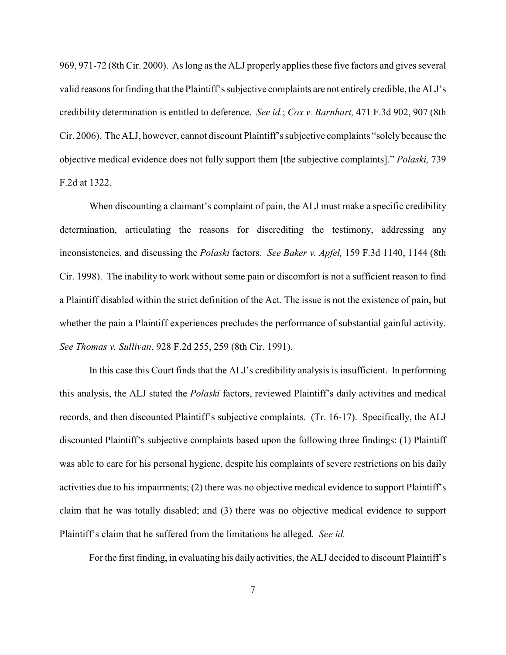969, 971-72 (8th Cir. 2000). As long as the ALJ properly applies these five factors and gives several valid reasons for finding that the Plaintiff's subjective complaints are not entirely credible, the ALJ's credibility determination is entitled to deference. *See id.*; *Cox v. Barnhart,* 471 F.3d 902, 907 (8th Cir. 2006). The ALJ, however, cannot discount Plaintiff's subjective complaints "solely because the objective medical evidence does not fully support them [the subjective complaints]." *Polaski,* 739 F.2d at 1322.

When discounting a claimant's complaint of pain, the ALJ must make a specific credibility determination, articulating the reasons for discrediting the testimony, addressing any inconsistencies, and discussing the *Polaski* factors. *See Baker v. Apfel,* 159 F.3d 1140, 1144 (8th Cir. 1998). The inability to work without some pain or discomfort is not a sufficient reason to find a Plaintiff disabled within the strict definition of the Act. The issue is not the existence of pain, but whether the pain a Plaintiff experiences precludes the performance of substantial gainful activity. *See Thomas v. Sullivan*, 928 F.2d 255, 259 (8th Cir. 1991).

In this case this Court finds that the ALJ's credibility analysis is insufficient. In performing this analysis, the ALJ stated the *Polaski* factors, reviewed Plaintiff's daily activities and medical records, and then discounted Plaintiff's subjective complaints. (Tr. 16-17). Specifically, the ALJ discounted Plaintiff's subjective complaints based upon the following three findings: (1) Plaintiff was able to care for his personal hygiene, despite his complaints of severe restrictions on his daily activities due to his impairments; (2) there was no objective medical evidence to support Plaintiff's claim that he was totally disabled; and (3) there was no objective medical evidence to support Plaintiff's claim that he suffered from the limitations he alleged. *See id.* 

For the first finding, in evaluating his daily activities, the ALJ decided to discount Plaintiff's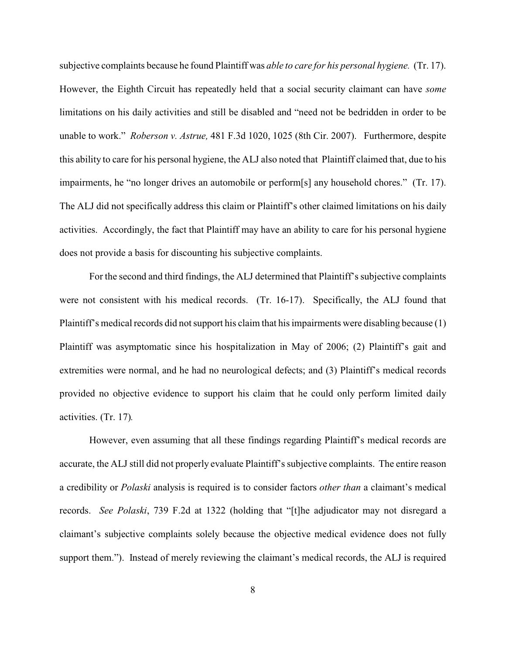subjective complaints because he found Plaintiff was *able to care for his personal hygiene.* (Tr. 17). However, the Eighth Circuit has repeatedly held that a social security claimant can have *some* limitations on his daily activities and still be disabled and "need not be bedridden in order to be unable to work." *Roberson v. Astrue,* 481 F.3d 1020, 1025 (8th Cir. 2007). Furthermore, despite this ability to care for his personal hygiene, the ALJ also noted that Plaintiff claimed that, due to his impairments, he "no longer drives an automobile or perform[s] any household chores." (Tr. 17). The ALJ did not specifically address this claim or Plaintiff's other claimed limitations on his daily activities. Accordingly, the fact that Plaintiff may have an ability to care for his personal hygiene does not provide a basis for discounting his subjective complaints.

For the second and third findings, the ALJ determined that Plaintiff's subjective complaints were not consistent with his medical records. (Tr. 16-17). Specifically, the ALJ found that Plaintiff's medical records did not support his claim that his impairments were disabling because (1) Plaintiff was asymptomatic since his hospitalization in May of 2006; (2) Plaintiff's gait and extremities were normal, and he had no neurological defects; and (3) Plaintiff's medical records provided no objective evidence to support his claim that he could only perform limited daily activities. (Tr. 17)*.* 

However, even assuming that all these findings regarding Plaintiff's medical records are accurate, the ALJ still did not properly evaluate Plaintiff's subjective complaints. The entire reason a credibility or *Polaski* analysis is required is to consider factors *other than* a claimant's medical records. *See Polaski*, 739 F.2d at 1322 (holding that "[t]he adjudicator may not disregard a claimant's subjective complaints solely because the objective medical evidence does not fully support them."). Instead of merely reviewing the claimant's medical records, the ALJ is required